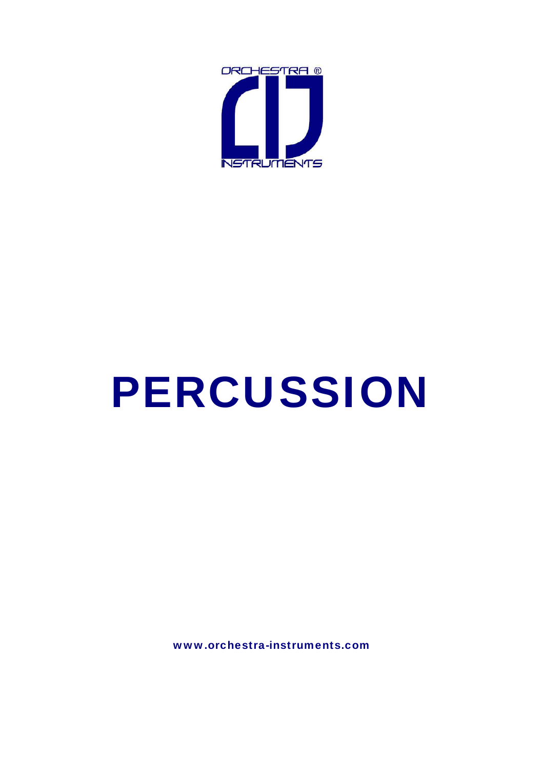

# PERCUSSION

www.orchestra-instruments.com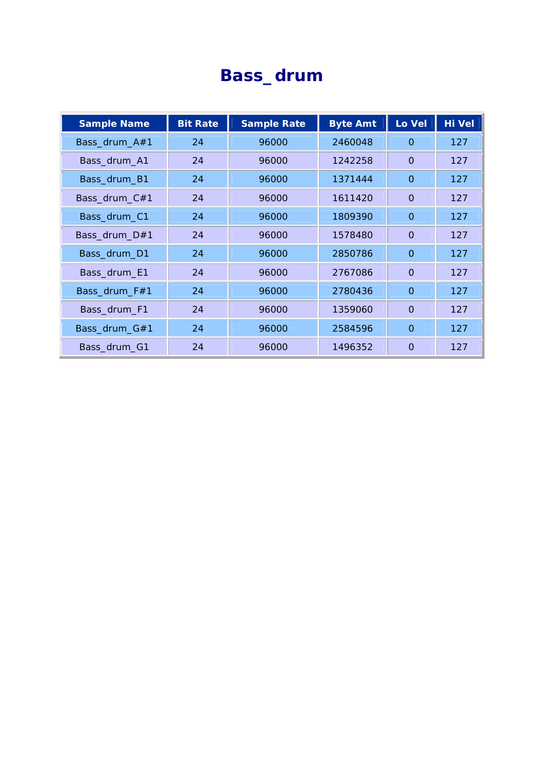#### **Bass\_drum**

| <b>Sample Name</b> | <b>Bit Rate</b> | <b>Sample Rate</b> | <b>Byte Amt</b> | Lo Vel       | <b>Hi Vel</b> |
|--------------------|-----------------|--------------------|-----------------|--------------|---------------|
| Bass_drum_A#1      | 24              | 96000              | 2460048         | $\Omega$     | 127           |
| Bass_drum_A1       | 24              | 96000              | 1242258         | $\Omega$     | 127           |
| Bass_drum_B1       | 24              | 96000              | 1371444         | $\Omega$     | 127           |
| Bass_drum_C#1      | 24              | 96000              | 1611420         | $\Omega$     | 127           |
| Bass_drum_C1       | 24              | 96000              | 1809390         | $\Omega$     | 127           |
| Bass_drum_D#1      | 24              | 96000              | 1578480         | $\Omega$     | 127           |
| Bass_drum_D1       | 24              | 96000              | 2850786         | $\mathbf{O}$ | 127           |
| Bass_drum_E1       | 24              | 96000              | 2767086         | $\Omega$     | 127           |
| Bass_drum_F#1      | 24              | 96000              | 2780436         | $\Omega$     | 127           |
| Bass_drum_F1       | 24              | 96000              | 1359060         | $\Omega$     | 127           |
| Bass_drum_G#1      | 24              | 96000              | 2584596         | $\Omega$     | 127           |
| Bass_drum_G1       | 24              | 96000              | 1496352         | $\Omega$     | 127           |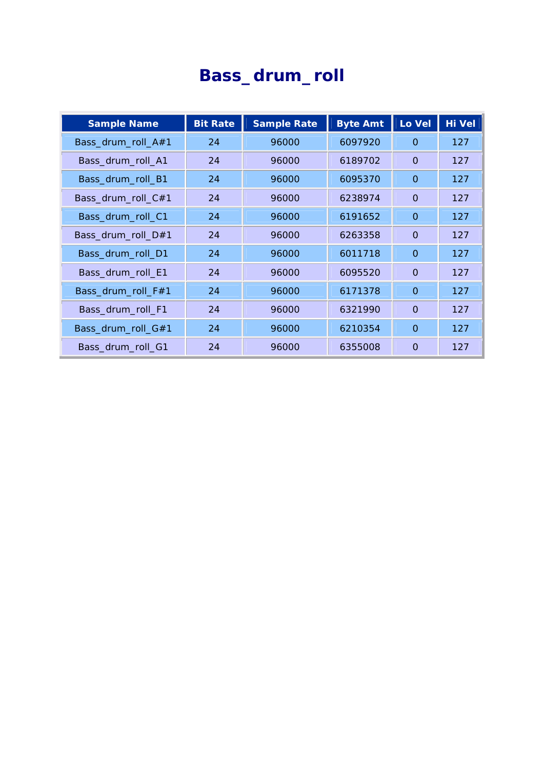# **Bass\_drum\_roll**

| <b>Sample Name</b> | <b>Bit Rate</b> | <b>Sample Rate</b> | <b>Byte Amt</b> | Lo Vel       | <b>Hi Vel</b> |
|--------------------|-----------------|--------------------|-----------------|--------------|---------------|
| Bass_drum_roll_A#1 | 24              | 96000              | 6097920         | 0            | 127           |
| Bass_drum_roll_A1  | 24              | 96000              | 6189702         | $\Omega$     | 127           |
| Bass_drum_roll_B1  | 24              | 96000              | 6095370         | $\Omega$     | 127           |
| Bass_drum_roll_C#1 | 24              | 96000              | 6238974         | $\mathbf{O}$ | 127           |
| Bass_drum_roll_C1  | 24              | 96000              | 6191652         | $\Omega$     | 127           |
| Bass_drum_roll_D#1 | 24              | 96000              | 6263358         | $\Omega$     | 127           |
| Bass_drum_roll_D1  | 24              | 96000              | 6011718         | $\Omega$     | 127           |
| Bass_drum_roll_E1  | 24              | 96000              | 6095520         | $\Omega$     | 127           |
| Bass_drum_roll_F#1 | 24              | 96000              | 6171378         | $\Omega$     | 127           |
| Bass_drum_roll_F1  | 24              | 96000              | 6321990         | $\Omega$     | 127           |
| Bass_drum_roll_G#1 | 24              | 96000              | 6210354         | $\Omega$     | 127           |
| Bass_drum_roll_G1  | 24              | 96000              | 6355008         | $\Omega$     | 127           |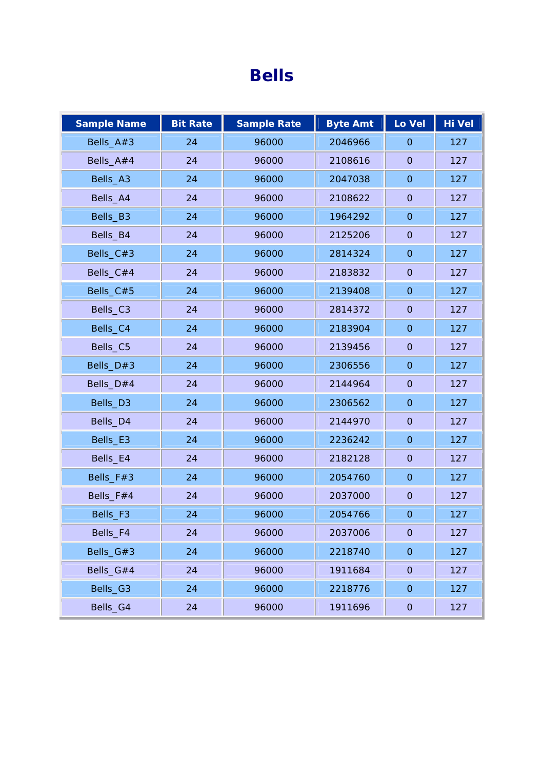#### **Bells**

| <b>Sample Name</b> | <b>Bit Rate</b> | <b>Sample Rate</b> | <b>Byte Amt</b> | Lo Vel              | Hi Vel |
|--------------------|-----------------|--------------------|-----------------|---------------------|--------|
| Bells_A#3          | 24              | 96000              | 2046966         | $\mathbf{O}$        | 127    |
| Bells_A#4          | 24              | 96000              | 2108616         | $\mathbf 0$         | 127    |
| Bells_A3           | 24              | 96000              | 2047038         | $\overline{O}$      | 127    |
| Bells_A4           | 24              | 96000              | 2108622         | $\overline{O}$      | 127    |
| Bells_B3           | 24              | 96000              | 1964292         | $\mathbf{O}$        | 127    |
| Bells_B4           | 24              | 96000              | 2125206         | $\overline{O}$      | 127    |
| Bells_C#3          | 24              | 96000              | 2814324         | $\mathbf 0$         | 127    |
| Bells_C#4          | 24              | 96000              | 2183832         | $\mathbf 0$         | 127    |
| Bells_C#5          | 24              | 96000              | 2139408         | $\mathbf{O}$        | 127    |
| Bells_C3           | 24              | 96000              | 2814372         | $\mathsf{O}\xspace$ | 127    |
| Bells_C4           | 24              | 96000              | 2183904         | $\mathbf{O}$        | 127    |
| Bells_C5           | 24              | 96000              | 2139456         | $\mathbf 0$         | 127    |
| Bells_D#3          | 24              | 96000              | 2306556         | $\mathbf{O}$        | 127    |
| Bells_D#4          | 24              | 96000              | 2144964         | $\overline{O}$      | 127    |
| Bells_D3           | 24              | 96000              | 2306562         | $\mathsf{O}\xspace$ | 127    |
| Bells_D4           | 24              | 96000              | 2144970         | $\overline{O}$      | 127    |
| Bells_E3           | 24              | 96000              | 2236242         | $\mathsf{O}\xspace$ | 127    |
| Bells_E4           | 24              | 96000              | 2182128         | $\overline{O}$      | 127    |
| Bells_F#3          | 24              | 96000              | 2054760         | $\mathbf{O}$        | 127    |
| Bells_F#4          | 24              | 96000              | 2037000         | $\overline{O}$      | 127    |
| Bells_F3           | 24              | 96000              | 2054766         | $\mathsf{O}\xspace$ | 127    |
| Bells_F4           | 24              | 96000              | 2037006         | $\mathsf{O}\xspace$ | 127    |
| Bells_G#3          | 24              | 96000              | 2218740         | $\mathsf O$         | 127    |
| Bells_G#4          | 24              | 96000              | 1911684         | $\mathsf{O}\xspace$ | 127    |
| Bells_G3           | 24              | 96000              | 2218776         | $\mathsf O$         | 127    |
| Bells_G4           | 24              | 96000              | 1911696         | $\mathsf{O}\xspace$ | 127    |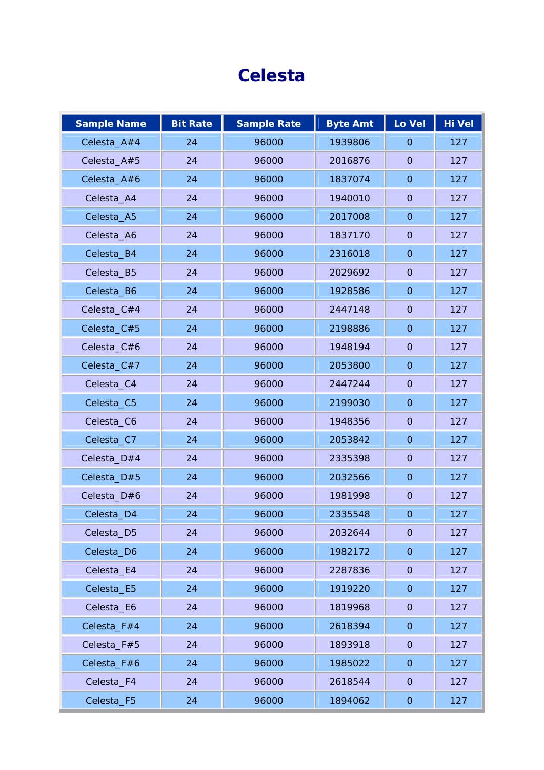## **Celesta**

| <b>Sample Name</b> | <b>Bit Rate</b> | <b>Sample Rate</b> | <b>Byte Amt</b> | Lo Vel              | Hi Vel |
|--------------------|-----------------|--------------------|-----------------|---------------------|--------|
| Celesta_A#4        | 24              | 96000              | 1939806         | $\overline{O}$      | 127    |
| Celesta_A#5        | 24              | 96000              | 2016876         | $\mathbf{O}$        | 127    |
| Celesta_A#6        | 24              | 96000              | 1837074         | $\overline{O}$      | 127    |
| Celesta_A4         | 24              | 96000              | 1940010         | $\mathbf{O}$        | 127    |
| Celesta_A5         | 24              | 96000              | 2017008         | $\overline{O}$      | 127    |
| Celesta_A6         | 24              | 96000              | 1837170         | $\mathbf{O}$        | 127    |
| Celesta_B4         | 24              | 96000              | 2316018         | $\overline{O}$      | 127    |
| Celesta_B5         | 24              | 96000              | 2029692         | $\mathbf{O}$        | 127    |
| Celesta_B6         | 24              | 96000              | 1928586         | $\mathbf 0$         | 127    |
| Celesta_C#4        | 24              | 96000              | 2447148         | $\mathbf{O}$        | 127    |
| Celesta_C#5        | 24              | 96000              | 2198886         | $\overline{O}$      | 127    |
| Celesta_C#6        | 24              | 96000              | 1948194         | $\overline{O}$      | 127    |
| Celesta_C#7        | 24              | 96000              | 2053800         | $\overline{O}$      | 127    |
| Celesta_C4         | 24              | 96000              | 2447244         | $\mathbf{O}$        | 127    |
| Celesta_C5         | 24              | 96000              | 2199030         | $\overline{O}$      | 127    |
| Celesta_C6         | 24              | 96000              | 1948356         | $\mathbf{O}$        | 127    |
| Celesta_C7         | 24              | 96000              | 2053842         | $\overline{O}$      | 127    |
| Celesta_D#4        | 24              | 96000              | 2335398         | $\mathbf{O}$        | 127    |
| Celesta_D#5        | 24              | 96000              | 2032566         | $\mathbf 0$         | 127    |
| Celesta_D#6        | 24              | 96000              | 1981998         | $\mathbf{O}$        | 127    |
| Celesta_D4         | 24              | 96000              | 2335548         | $\overline{O}$      | 127    |
| Celesta_D5         | 24              | 96000              | 2032644         | $\overline{O}$      | 127    |
| Celesta_D6         | 24              | 96000              | 1982172         | $\mathsf O$         | 127    |
| Celesta_E4         | 24              | 96000              | 2287836         | $\overline{O}$      | 127    |
| Celesta_E5         | 24              | 96000              | 1919220         | $\mathsf{O}\xspace$ | 127    |
| Celesta_E6         | 24              | 96000              | 1819968         | $\mathsf{O}\xspace$ | 127    |
| Celesta_F#4        | 24              | 96000              | 2618394         | $\boldsymbol{0}$    | 127    |
| Celesta_F#5        | 24              | 96000              | 1893918         | $\overline{O}$      | 127    |
| Celesta_F#6        | 24              | 96000              | 1985022         | $\mathsf{O}\xspace$ | 127    |
| Celesta_F4         | 24              | 96000              | 2618544         | $\mathsf{O}\xspace$ | 127    |
| Celesta_F5         | 24              | 96000              | 1894062         | $\overline{O}$      | 127    |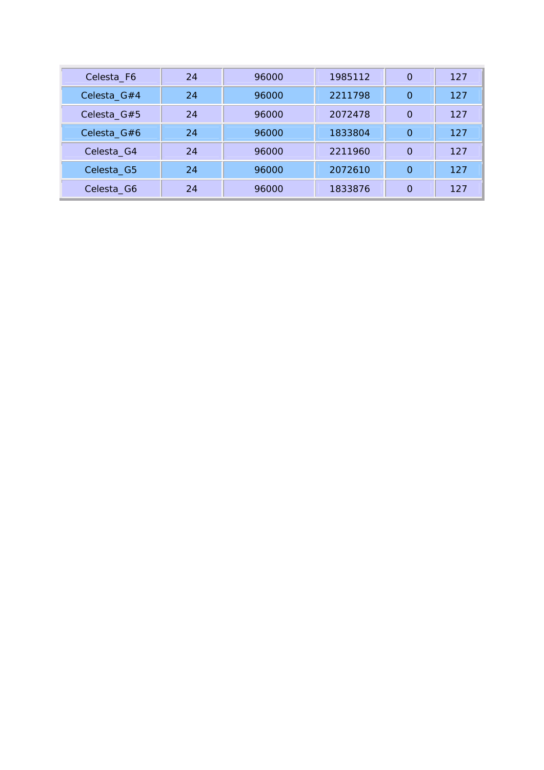| Celesta_F6                           | 24 | 96000 | 1985112 | $\Omega$ | 127 |
|--------------------------------------|----|-------|---------|----------|-----|
| Celesta_G#4                          | 24 | 96000 | 2211798 | $\Omega$ | 127 |
| Celesta <sub><math>-G#5</math></sub> | 24 | 96000 | 2072478 | $\Omega$ | 127 |
| Celesta_G#6                          | 24 | 96000 | 1833804 | $\Omega$ | 127 |
| Celesta <sub>C4</sub>                | 24 | 96000 | 2211960 | $\Omega$ | 127 |
| Celesta <sub>C</sub> G5              | 24 | 96000 | 2072610 | $\Omega$ | 127 |
| Celesta <sub>_G6</sub>               | 24 | 96000 | 1833876 | $\Omega$ | 127 |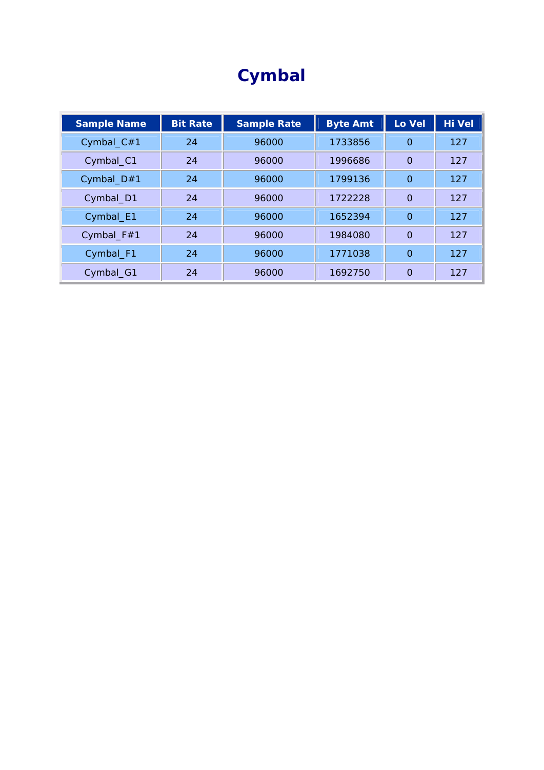# **Cymbal**

| <b>Sample Name</b> | <b>Bit Rate</b> | <b>Sample Rate</b> | <b>Byte Amt</b> | Lo Vel   | <b>Hi Vel</b> |
|--------------------|-----------------|--------------------|-----------------|----------|---------------|
| Cymbal_C#1         | 24              | 96000              | 1733856         | $\Omega$ | 127           |
| Cymbal_C1          | 24              | 96000              | 1996686         | $\Omega$ | 127           |
| Cymbal_ $D#1$      | 24              | 96000              | 1799136         | $\Omega$ | 127           |
| Cymbal_D1          | 24              | 96000              | 1722228         | $\Omega$ | 127           |
| Cymbal_E1          | 24              | 96000              | 1652394         | $\Omega$ | 127           |
| Cymbal_F#1         | 24              | 96000              | 1984080         | $\Omega$ | 127           |
| Cymbal_F1          | 24              | 96000              | 1771038         | $\Omega$ | 127           |
| Cymbal_G1          | 24              | 96000              | 1692750         | $\Omega$ | 127           |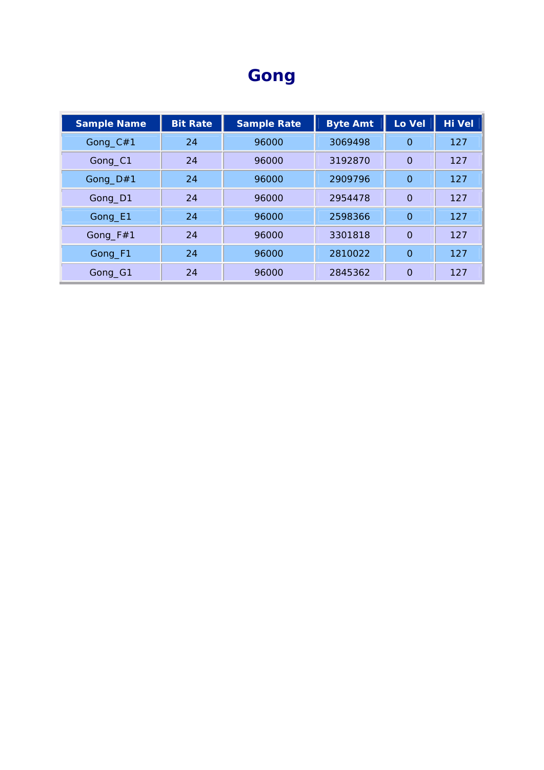## **Gong**

| <b>Sample Name</b> | <b>Bit Rate</b> | <b>Sample Rate</b> | <b>Byte Amt</b> | Lo Vel   | <b>Hi Vel</b> |
|--------------------|-----------------|--------------------|-----------------|----------|---------------|
| Gong_C#1           | 24              | 96000              | 3069498         | $\Omega$ | 127           |
| Gong_C1            | 24              | 96000              | 3192870         | $\Omega$ | 127           |
| Gong_D#1           | 24              | 96000              | 2909796         | $\Omega$ | 127           |
| Gong_D1            | 24              | 96000              | 2954478         | $\Omega$ | 127           |
| Gong_E1            | 24              | 96000              | 2598366         | $\Omega$ | 127           |
| Gong $_F$ #1       | 24              | 96000              | 3301818         | $\Omega$ | 127           |
| Gong_F1            | 24              | 96000              | 2810022         | $\Omega$ | 127           |
| Gong_G1            | 24              | 96000              | 2845362         | $\Omega$ | 127           |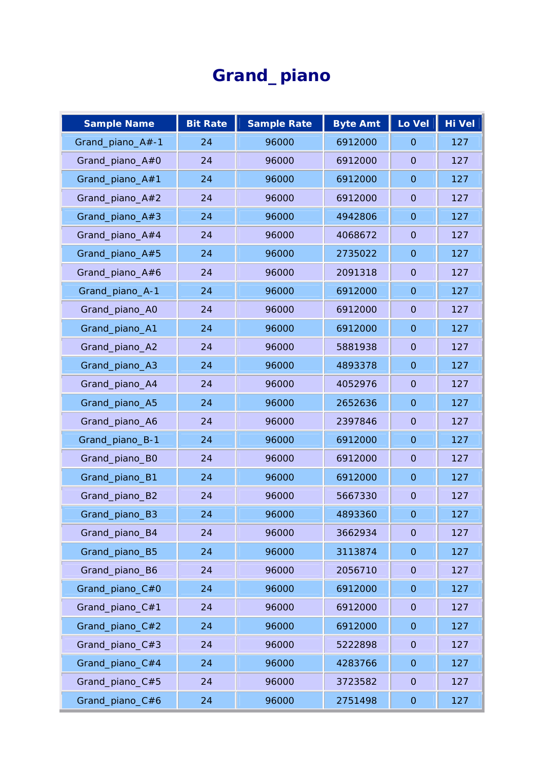# **Grand\_piano**

| <b>Sample Name</b> | <b>Bit Rate</b> | <b>Sample Rate</b> | <b>Byte Amt</b> | Lo Vel         | <b>Hi Vel</b> |
|--------------------|-----------------|--------------------|-----------------|----------------|---------------|
| Grand_piano_A#-1   | 24              | 96000              | 6912000         | $\Omega$       | 127           |
| Grand_piano_A#0    | 24              | 96000              | 6912000         | $\mathbf{O}$   | 127           |
| Grand_piano_A#1    | 24              | 96000              | 6912000         | $\mathbf{O}$   | 127           |
| Grand_piano_A#2    | 24              | 96000              | 6912000         | $\Omega$       | 127           |
| Grand_piano_A#3    | 24              | 96000              | 4942806         | $\Omega$       | 127           |
| Grand_piano_A#4    | 24              | 96000              | 4068672         | $\mathbf{O}$   | 127           |
| Grand_piano_A#5    | 24              | 96000              | 2735022         | $\mathbf{O}$   | 127           |
| Grand_piano_A#6    | 24              | 96000              | 2091318         | $\Omega$       | 127           |
| Grand_piano_A-1    | 24              | 96000              | 6912000         | $\overline{O}$ | 127           |
| Grand_piano_A0     | 24              | 96000              | 6912000         | $\mathbf{O}$   | 127           |
| Grand_piano_A1     | 24              | 96000              | 6912000         | $\mathbf{O}$   | 127           |
| Grand_piano_A2     | 24              | 96000              | 5881938         | $\overline{O}$ | 127           |
| Grand_piano_A3     | 24              | 96000              | 4893378         | $\overline{O}$ | 127           |
| Grand_piano_A4     | 24              | 96000              | 4052976         | $\Omega$       | 127           |
| Grand_piano_A5     | 24              | 96000              | 2652636         | $\Omega$       | 127           |
| Grand_piano_A6     | 24              | 96000              | 2397846         | $\mathbf{O}$   | 127           |
| Grand_piano_B-1    | 24              | 96000              | 6912000         | $\mathbf{O}$   | 127           |
| Grand_piano_B0     | 24              | 96000              | 6912000         | $\Omega$       | 127           |
| Grand_piano_B1     | 24              | 96000              | 6912000         | $\mathbf 0$    | 127           |
| Grand_piano_B2     | 24              | 96000              | 5667330         | $\mathbf{O}$   | 127           |
| Grand_piano_B3     | 24              | 96000              | 4893360         | $\mathbf 0$    | 127           |
| Grand_piano_B4     | 24              | 96000              | 3662934         | $\mathbf 0$    | 127           |
| Grand_piano_B5     | 24              | 96000              | 3113874         | $\mathbf 0$    | 127           |
| Grand_piano_B6     | 24              | 96000              | 2056710         | $\overline{O}$ | 127           |
| Grand_piano_C#0    | 24              | 96000              | 6912000         | $\mathbf 0$    | 127           |
| Grand_piano_C#1    | 24              | 96000              | 6912000         | $\overline{O}$ | 127           |
| Grand_piano_C#2    | 24              | 96000              | 6912000         | $\overline{O}$ | 127           |
| Grand_piano_C#3    | 24              | 96000              | 5222898         | $\overline{O}$ | 127           |
| Grand_piano_C#4    | 24              | 96000              | 4283766         | $\overline{O}$ | 127           |
| Grand_piano_C#5    | 24              | 96000              | 3723582         | $\overline{O}$ | 127           |
| Grand_piano_C#6    | 24              | 96000              | 2751498         | $\mathsf O$    | 127           |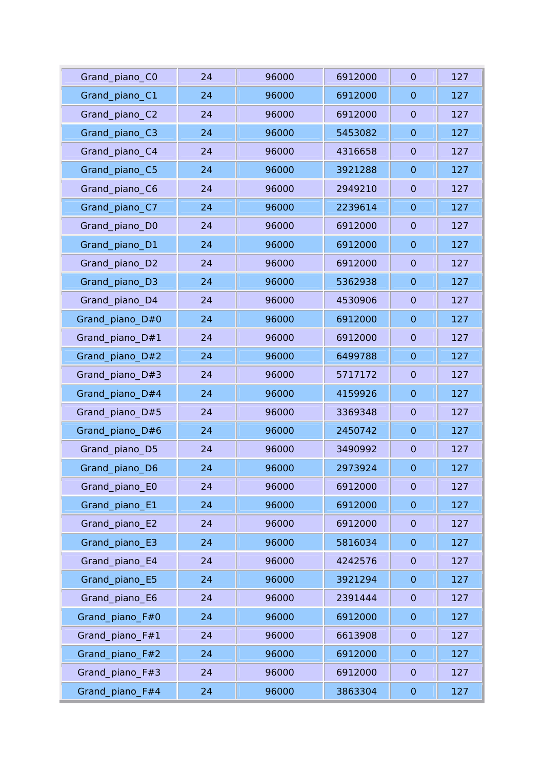| Grand_piano_CO  | 24 | 96000 | 6912000 | $\mathbf{O}$   | 127 |
|-----------------|----|-------|---------|----------------|-----|
| Grand_piano_C1  | 24 | 96000 | 6912000 | $\mathbf{O}$   | 127 |
| Grand_piano_C2  | 24 | 96000 | 6912000 | $\overline{O}$ | 127 |
| Grand_piano_C3  | 24 | 96000 | 5453082 | $\overline{O}$ | 127 |
| Grand_piano_C4  | 24 | 96000 | 4316658 | $\overline{O}$ | 127 |
| Grand_piano_C5  | 24 | 96000 | 3921288 | $\overline{O}$ | 127 |
| Grand_piano_C6  | 24 | 96000 | 2949210 | $\mathbf{O}$   | 127 |
| Grand_piano_C7  | 24 | 96000 | 2239614 | $\overline{O}$ | 127 |
| Grand_piano_D0  | 24 | 96000 | 6912000 | $\Omega$       | 127 |
| Grand_piano_D1  | 24 | 96000 | 6912000 | $\mathbf 0$    | 127 |
| Grand_piano_D2  | 24 | 96000 | 6912000 | $\mathbf 0$    | 127 |
| Grand_piano_D3  | 24 | 96000 | 5362938 | $\mathbf{O}$   | 127 |
| Grand_piano_D4  | 24 | 96000 | 4530906 | $\overline{0}$ | 127 |
| Grand_piano_D#0 | 24 | 96000 | 6912000 | $\mathbf 0$    | 127 |
| Grand_piano_D#1 | 24 | 96000 | 6912000 | $\overline{O}$ | 127 |
| Grand_piano_D#2 | 24 | 96000 | 6499788 | $\mathbf 0$    | 127 |
| Grand_piano_D#3 | 24 | 96000 | 5717172 | $\mathbf{O}$   | 127 |
| Grand_piano_D#4 | 24 | 96000 | 4159926 | $\mathbf 0$    | 127 |
| Grand_piano_D#5 | 24 | 96000 | 3369348 | $\overline{O}$ | 127 |
| Grand_piano_D#6 | 24 | 96000 | 2450742 | $\mathbf 0$    | 127 |
| Grand_piano_D5  | 24 | 96000 | 3490992 | $\mathbf{O}$   | 127 |
| Grand_piano_D6  | 24 | 96000 | 2973924 | $\mathbf 0$    | 127 |
| Grand_piano_E0  | 24 | 96000 | 6912000 | $\overline{O}$ | 127 |
| Grand_piano_E1  | 24 | 96000 | 6912000 | $\mathbf 0$    | 127 |
| Grand_piano_E2  | 24 | 96000 | 6912000 | $\overline{O}$ | 127 |
| Grand_piano_E3  | 24 | 96000 | 5816034 | $\overline{O}$ | 127 |
| Grand_piano_E4  | 24 | 96000 | 4242576 | $\overline{O}$ | 127 |
| Grand_piano_E5  | 24 | 96000 | 3921294 | $\mathbf 0$    | 127 |
| Grand_piano_E6  | 24 | 96000 | 2391444 | $\mathbf 0$    | 127 |
| Grand_piano_F#0 | 24 | 96000 | 6912000 | $\overline{O}$ | 127 |
| Grand_piano_F#1 | 24 | 96000 | 6613908 | $\mathbf 0$    | 127 |
| Grand_piano_F#2 | 24 | 96000 | 6912000 | $\overline{O}$ | 127 |
| Grand_piano_F#3 | 24 | 96000 | 6912000 | $\mathbf{O}$   | 127 |
| Grand_piano_F#4 | 24 | 96000 | 3863304 | $\mathbf 0$    | 127 |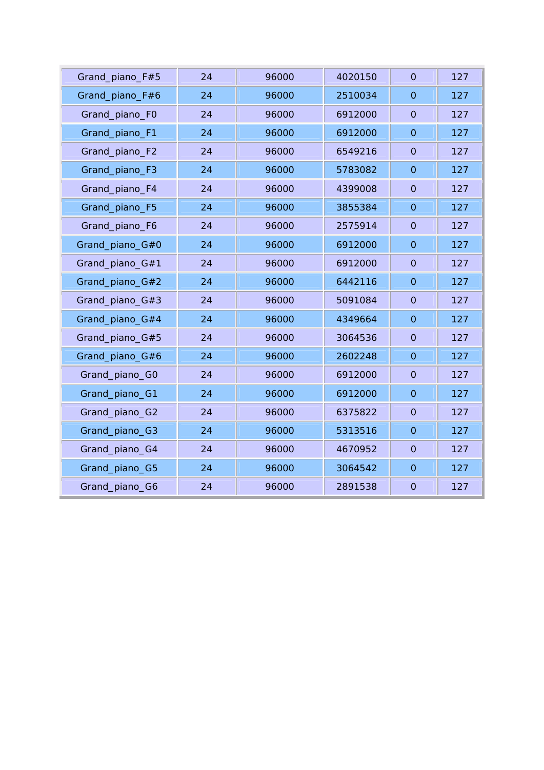| 24 | 96000 | 4020150 | $\overline{O}$ | 127 |
|----|-------|---------|----------------|-----|
| 24 | 96000 | 2510034 | $\mathbf{O}$   | 127 |
| 24 | 96000 | 6912000 | $\overline{O}$ | 127 |
| 24 | 96000 | 6912000 | $\overline{O}$ | 127 |
| 24 | 96000 | 6549216 | $\overline{O}$ | 127 |
| 24 | 96000 | 5783082 | $\overline{O}$ | 127 |
| 24 | 96000 | 4399008 | $\mathbf{O}$   | 127 |
| 24 | 96000 | 3855384 | $\overline{O}$ | 127 |
| 24 | 96000 | 2575914 | $\overline{0}$ | 127 |
| 24 | 96000 | 6912000 | $\overline{O}$ | 127 |
| 24 | 96000 | 6912000 | $\overline{O}$ | 127 |
| 24 | 96000 | 6442116 | $\overline{O}$ | 127 |
| 24 | 96000 | 5091084 | $\overline{0}$ | 127 |
| 24 | 96000 | 4349664 | $\overline{O}$ | 127 |
| 24 | 96000 | 3064536 | $\mathbf{O}$   | 127 |
| 24 | 96000 | 2602248 | $\overline{O}$ | 127 |
| 24 | 96000 | 6912000 | $\overline{0}$ | 127 |
| 24 | 96000 | 6912000 | $\overline{O}$ | 127 |
| 24 | 96000 | 6375822 | $\overline{O}$ | 127 |
| 24 | 96000 | 5313516 | $\overline{O}$ | 127 |
| 24 | 96000 | 4670952 | $\overline{O}$ | 127 |
| 24 | 96000 | 3064542 | $\mathbf 0$    | 127 |
| 24 | 96000 | 2891538 | $\overline{O}$ | 127 |
|    |       |         |                |     |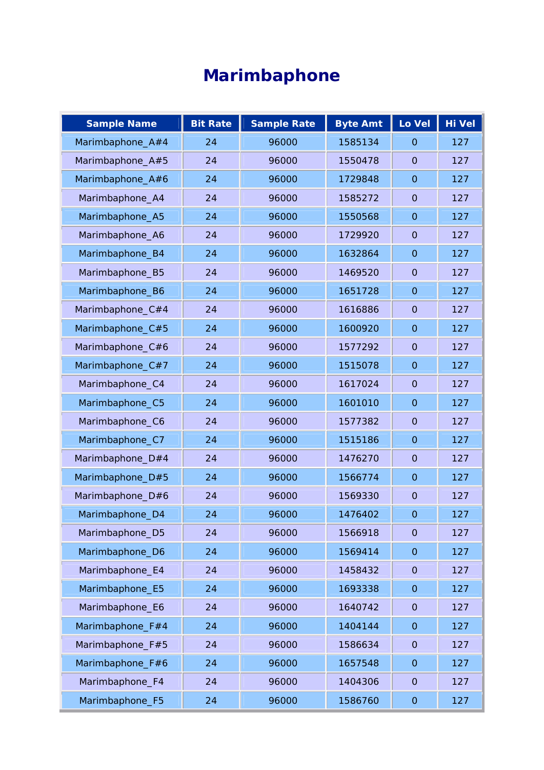# **Marimbaphone**

| <b>Sample Name</b> | <b>Bit Rate</b> | <b>Sample Rate</b> | <b>Byte Amt</b> | Lo Vel         | Hi Vel |
|--------------------|-----------------|--------------------|-----------------|----------------|--------|
| Marimbaphone_A#4   | 24              | 96000              | 1585134         | $\Omega$       | 127    |
| Marimbaphone_A#5   | 24              | 96000              | 1550478         | $\mathbf{O}$   | 127    |
| Marimbaphone_A#6   | 24              | 96000              | 1729848         | $\mathbf{O}$   | 127    |
| Marimbaphone_A4    | 24              | 96000              | 1585272         | $\mathbf{O}$   | 127    |
| Marimbaphone_A5    | 24              | 96000              | 1550568         | $\overline{O}$ | 127    |
| Marimbaphone_A6    | 24              | 96000              | 1729920         | $\mathbf{O}$   | 127    |
| Marimbaphone_B4    | 24              | 96000              | 1632864         | $\mathbf{O}$   | 127    |
| Marimbaphone_B5    | 24              | 96000              | 1469520         | $\mathbf{O}$   | 127    |
| Marimbaphone_B6    | 24              | 96000              | 1651728         | $\mathbf{O}$   | 127    |
| Marimbaphone_C#4   | 24              | 96000              | 1616886         | $\overline{O}$ | 127    |
| Marimbaphone_C#5   | 24              | 96000              | 1600920         | $\Omega$       | 127    |
| Marimbaphone_C#6   | 24              | 96000              | 1577292         | $\overline{O}$ | 127    |
| Marimbaphone_C#7   | 24              | 96000              | 1515078         | $\mathbf{O}$   | 127    |
| Marimbaphone_C4    | 24              | 96000              | 1617024         | $\mathbf{O}$   | 127    |
| Marimbaphone_C5    | 24              | 96000              | 1601010         | $\overline{O}$ | 127    |
| Marimbaphone_C6    | 24              | 96000              | 1577382         | $\mathbf{O}$   | 127    |
| Marimbaphone_C7    | 24              | 96000              | 1515186         | $\mathbf{O}$   | 127    |
| Marimbaphone_D#4   | 24              | 96000              | 1476270         | $\mathbf{O}$   | 127    |
| Marimbaphone_D#5   | 24              | 96000              | 1566774         | $\overline{O}$ | 127    |
| Marimbaphone_D#6   | 24              | 96000              | 1569330         | $\overline{O}$ | 127    |
| Marimbaphone_D4    | 24              | 96000              | 1476402         | $\Omega$       | 127    |
| Marimbaphone_D5    | 24              | 96000              | 1566918         | $\mathbf 0$    | 127    |
| Marimbaphone_D6    | 24              | 96000              | 1569414         | $\mathbf 0$    | 127    |
| Marimbaphone_E4    | 24              | 96000              | 1458432         | $\overline{O}$ | 127    |
| Marimbaphone_E5    | 24              | 96000              | 1693338         | $\Omega$       | 127    |
| Marimbaphone_E6    | 24              | 96000              | 1640742         | $\overline{O}$ | 127    |
| Marimbaphone_F#4   | 24              | 96000              | 1404144         | $\mathbf 0$    | 127    |
| Marimbaphone_F#5   | 24              | 96000              | 1586634         | $\mathbf 0$    | 127    |
| Marimbaphone_F#6   | 24              | 96000              | 1657548         | $\Omega$       | 127    |
| Marimbaphone_F4    | 24              | 96000              | 1404306         | $\mathbf 0$    | 127    |
| Marimbaphone_F5    | 24              | 96000              | 1586760         | $\mathbf 0$    | 127    |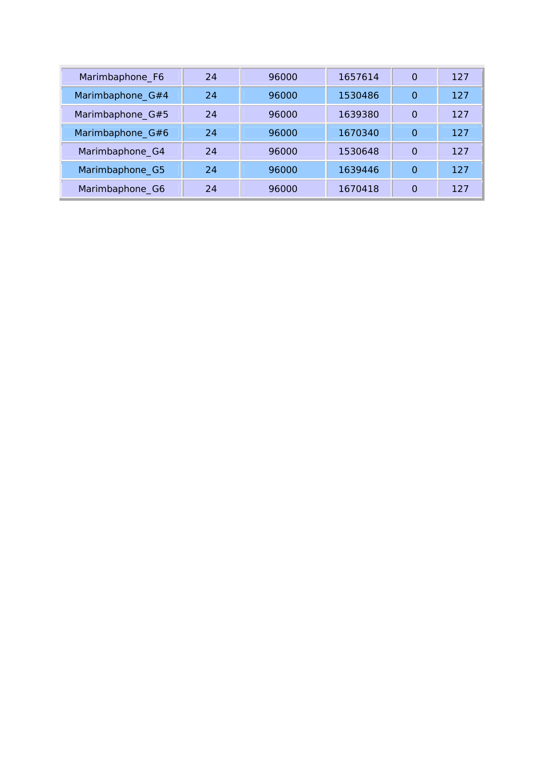| Marimbaphone_F6  | 24 | 96000 | 1657614 | $\Omega$ | 127 |
|------------------|----|-------|---------|----------|-----|
| Marimbaphone_G#4 | 24 | 96000 | 1530486 | O        | 127 |
| Marimbaphone_G#5 | 24 | 96000 | 1639380 | $\Omega$ | 127 |
| Marimbaphone_G#6 | 24 | 96000 | 1670340 | $\Omega$ | 127 |
| Marimbaphone_G4  | 24 | 96000 | 1530648 | $\Omega$ | 127 |
| Marimbaphone_G5  | 24 | 96000 | 1639446 | $\Omega$ | 127 |
| Marimbaphone_G6  | 24 | 96000 | 1670418 | $\Omega$ | 127 |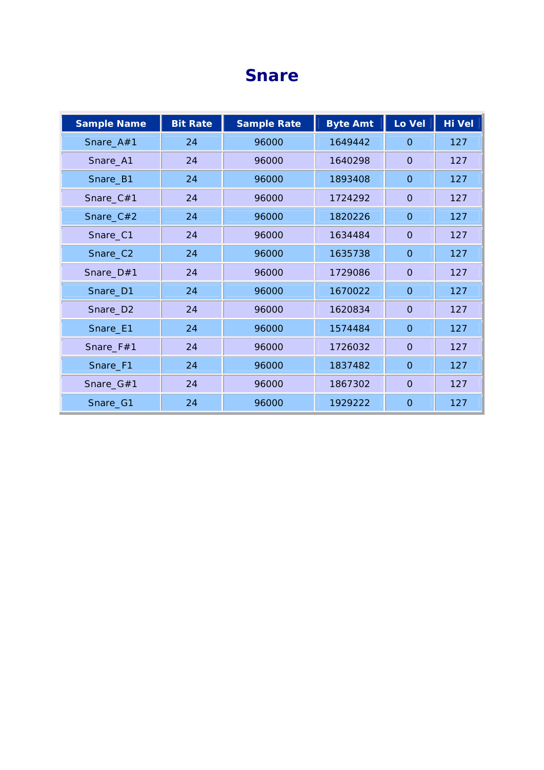#### **Snare**

| <b>Sample Name</b> | <b>Bit Rate</b> | <b>Sample Rate</b> | <b>Byte Amt</b> | Lo Vel         | Hi Vel |
|--------------------|-----------------|--------------------|-----------------|----------------|--------|
| Snare_A#1          | 24              | 96000              | 1649442         | $\mathbf{O}$   | 127    |
| Snare_A1           | 24              | 96000              | 1640298         | $\overline{O}$ | 127    |
| Snare_B1           | 24              | 96000              | 1893408         | $\mathbf 0$    | 127    |
| Snare_C#1          | 24              | 96000              | 1724292         | $\Omega$       | 127    |
| Snare_C#2          | 24              | 96000              | 1820226         | $\overline{O}$ | 127    |
| Snare_C1           | 24              | 96000              | 1634484         | $\overline{O}$ | 127    |
| Snare_C2           | 24              | 96000              | 1635738         | $\overline{O}$ | 127    |
| Snare_D#1          | 24              | 96000              | 1729086         | $\overline{O}$ | 127    |
| Snare_D1           | 24              | 96000              | 1670022         | $\mathbf 0$    | 127    |
| Snare_D2           | 24              | 96000              | 1620834         | $\overline{O}$ | 127    |
| Snare_E1           | 24              | 96000              | 1574484         | $\mathbf 0$    | 127    |
| Snare_F#1          | 24              | 96000              | 1726032         | $\overline{O}$ | 127    |
| Snare_F1           | 24              | 96000              | 1837482         | $\overline{O}$ | 127    |
| Snare_G#1          | 24              | 96000              | 1867302         | $\mathbf{O}$   | 127    |
| Snare_G1           | 24              | 96000              | 1929222         | $\mathbf 0$    | 127    |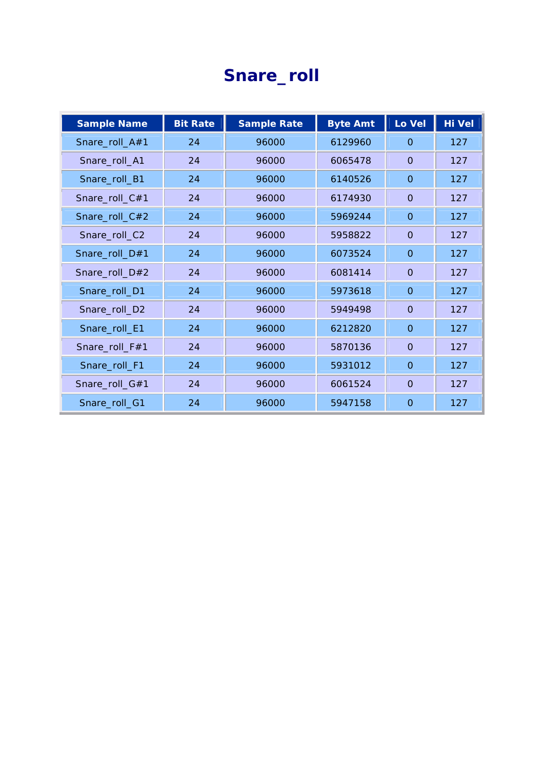## **Snare\_roll**

| <b>Sample Name</b> | <b>Bit Rate</b> | <b>Sample Rate</b> | <b>Byte Amt</b> | Lo Vel         | <b>Hi Vel</b> |
|--------------------|-----------------|--------------------|-----------------|----------------|---------------|
| Snare_roll_A#1     | 24              | 96000              | 6129960         | $\Omega$       | 127           |
| Snare_roll_A1      | 24              | 96000              | 6065478         | $\Omega$       | 127           |
| Snare_roll_B1      | 24              | 96000              | 6140526         | $\mathbf{O}$   | 127           |
| Snare_roll_C#1     | 24              | 96000              | 6174930         | $\Omega$       | 127           |
| Snare_roll_C#2     | 24              | 96000              | 5969244         | $\overline{O}$ | 127           |
| Snare_roll_C2      | 24              | 96000              | 5958822         | $\mathbf{O}$   | 127           |
| Snare_roll_D#1     | 24              | 96000              | 6073524         | $\Omega$       | 127           |
| Snare_roll_D#2     | 24              | 96000              | 6081414         | $\mathbf{O}$   | 127           |
| Snare_roll_D1      | 24              | 96000              | 5973618         | $\overline{O}$ | 127           |
| Snare_roll_D2      | 24              | 96000              | 5949498         | $\Omega$       | 127           |
| Snare_roll_E1      | 24              | 96000              | 6212820         | $\overline{O}$ | 127           |
| Snare_roll_F#1     | 24              | 96000              | 5870136         | $\Omega$       | 127           |
| Snare_roll_F1      | 24              | 96000              | 5931012         | $\mathbf{O}$   | 127           |
| Snare_roll_G#1     | 24              | 96000              | 6061524         | $\mathbf{O}$   | 127           |
| Snare_roll_G1      | 24              | 96000              | 5947158         | $\mathbf{O}$   | 127           |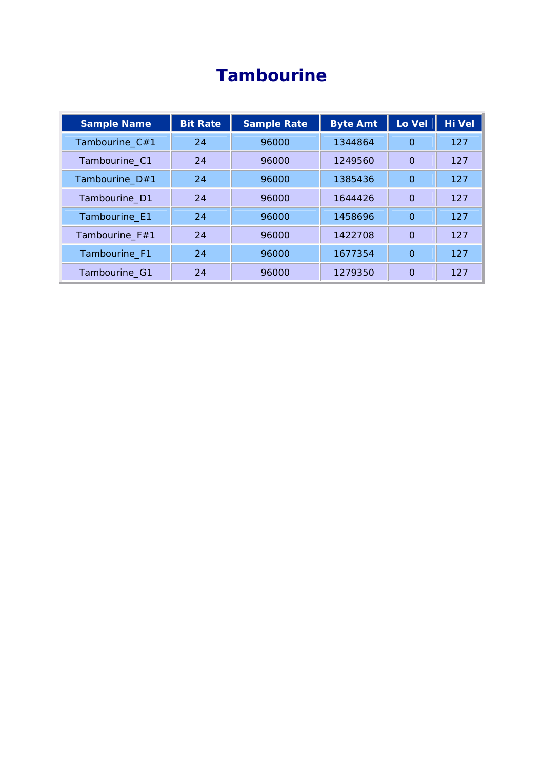## **Tambourine**

| <b>Sample Name</b> | <b>Bit Rate</b> | <b>Sample Rate</b> | <b>Byte Amt</b> | Lo Vel   | Hi Vel |
|--------------------|-----------------|--------------------|-----------------|----------|--------|
| Tambourine_C#1     | 24              | 96000              | 1344864         | $\Omega$ | 127    |
| Tambourine_C1      | 24              | 96000              | 1249560         | $\Omega$ | 127    |
| Tambourine_D#1     | 24              | 96000              | 1385436         | $\Omega$ | 127    |
| Tambourine_D1      | 24              | 96000              | 1644426         | $\Omega$ | 127    |
| Tambourine_E1      | 24              | 96000              | 1458696         | $\Omega$ | 127    |
| Tambourine_F#1     | 24              | 96000              | 1422708         | $\Omega$ | 127    |
| Tambourine_F1      | 24              | 96000              | 1677354         | $\Omega$ | 127    |
| Tambourine_G1      | 24              | 96000              | 1279350         | $\Omega$ | 127    |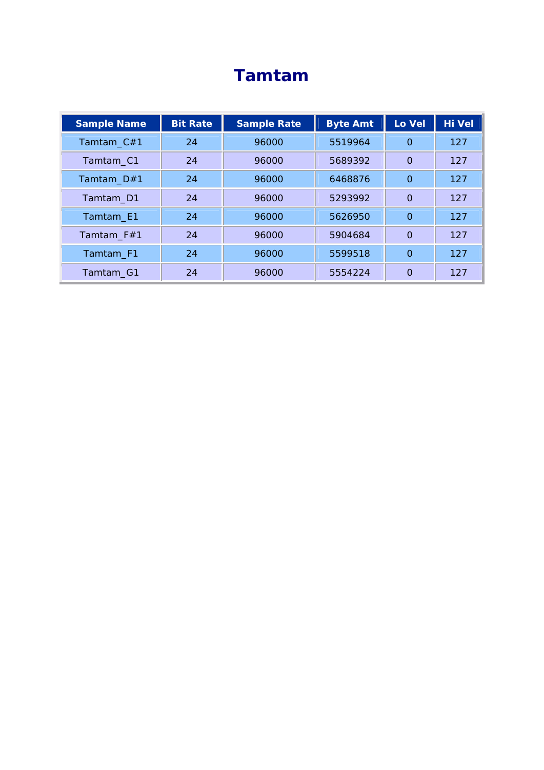## **Tamtam**

| <b>Sample Name</b> | <b>Bit Rate</b> | <b>Sample Rate</b> | <b>Byte Amt</b> | Lo Vel   | <b>Hi Vel</b> |
|--------------------|-----------------|--------------------|-----------------|----------|---------------|
| Tamtam_C#1         | 24              | 96000              | 5519964         | $\Omega$ | 127           |
| Tamtam_C1          | 24              | 96000              | 5689392         | $\Omega$ | 127           |
| Tamtam_D#1         | 24              | 96000              | 6468876         | $\Omega$ | 127           |
| Tamtam D1          | 24              | 96000              | 5293992         | $\Omega$ | 127           |
| Tamtam_E1          | 24              | 96000              | 5626950         | $\Omega$ | 127           |
| Tamtam_F#1         | 24              | 96000              | 5904684         | $\Omega$ | 127           |
| Tamtam_F1          | 24              | 96000              | 5599518         | $\Omega$ | 127           |
| Tamtam_G1          | 24              | 96000              | 5554224         | $\Omega$ | 127           |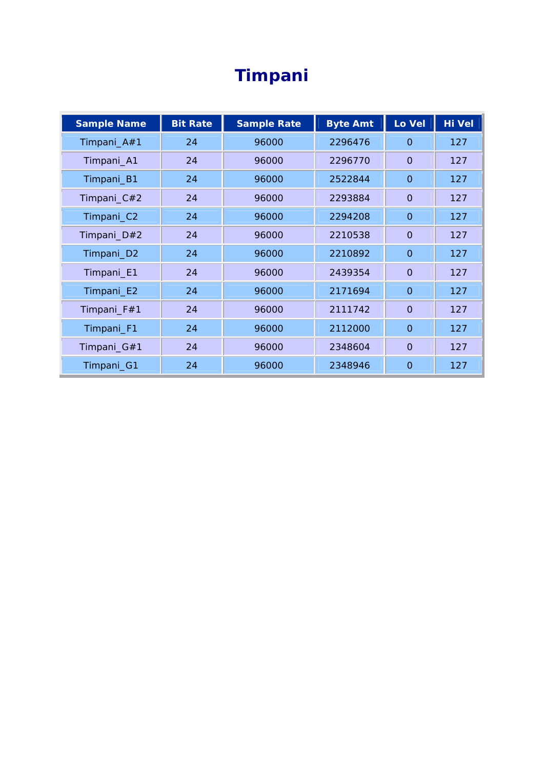# **Timpani**

| <b>Sample Name</b> | <b>Bit Rate</b> | <b>Sample Rate</b> | <b>Byte Amt</b> | Lo Vel         | Hi Vel |
|--------------------|-----------------|--------------------|-----------------|----------------|--------|
| Timpani_A#1        | 24              | 96000              | 2296476         | $\Omega$       | 127    |
| Timpani_A1         | 24              | 96000              | 2296770         | $\Omega$       | 127    |
| Timpani_B1         | 24              | 96000              | 2522844         | $\mathbf{O}$   | 127    |
| Timpani_C#2        | 24              | 96000              | 2293884         | $\overline{0}$ | 127    |
| Timpani_C2         | 24              | 96000              | 2294208         | $\mathbf{O}$   | 127    |
| Timpani_D#2        | 24              | 96000              | 2210538         | $\overline{0}$ | 127    |
| Timpani_D2         | 24              | 96000              | 2210892         | $\mathbf{O}$   | 127    |
| Timpani_E1         | 24              | 96000              | 2439354         | $\overline{O}$ | 127    |
| Timpani_E2         | 24              | 96000              | 2171694         | $\mathbf{O}$   | 127    |
| Timpani_F#1        | 24              | 96000              | 2111742         | $\overline{0}$ | 127    |
| Timpani_F1         | 24              | 96000              | 2112000         | $\mathbf{O}$   | 127    |
| Timpani_G#1        | 24              | 96000              | 2348604         | $\Omega$       | 127    |
| Timpani_G1         | 24              | 96000              | 2348946         | $\Omega$       | 127    |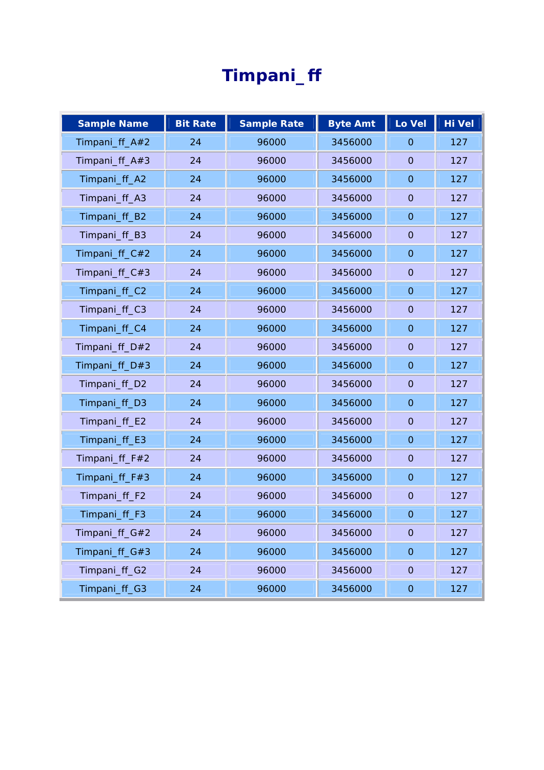# **Timpani\_ff**

| <b>Sample Name</b> | <b>Bit Rate</b> | <b>Sample Rate</b> | <b>Byte Amt</b> | Lo Vel              | <b>Hi Vel</b> |
|--------------------|-----------------|--------------------|-----------------|---------------------|---------------|
| Timpani_ff_A#2     | 24              | 96000              | 3456000         | $\mathbf{O}$        | 127           |
| Timpani_ff_A#3     | 24              | 96000              | 3456000         | $\overline{0}$      | 127           |
| Timpani_ff_A2      | 24              | 96000              | 3456000         | $\mathbf 0$         | 127           |
| Timpani_ff_A3      | 24              | 96000              | 3456000         | $\overline{0}$      | 127           |
| Timpani_ff_B2      | 24              | 96000              | 3456000         | $\mathbf{O}$        | 127           |
| Timpani_ff_B3      | 24              | 96000              | 3456000         | $\overline{0}$      | 127           |
| Timpani_ff_C#2     | 24              | 96000              | 3456000         | $\overline{O}$      | 127           |
| Timpani_ff_C#3     | 24              | 96000              | 3456000         | $\overline{0}$      | 127           |
| Timpani_ff_C2      | 24              | 96000              | 3456000         | $\mathbf 0$         | 127           |
| Timpani_ff_C3      | 24              | 96000              | 3456000         | $\mathbf{O}$        | 127           |
| Timpani_ff_C4      | 24              | 96000              | 3456000         | $\mathbf 0$         | 127           |
| Timpani_ff_D#2     | 24              | 96000              | 3456000         | $\mathbf{O}$        | 127           |
| Timpani_ff_D#3     | 24              | 96000              | 3456000         | $\overline{O}$      | 127           |
| Timpani_ff_D2      | 24              | 96000              | 3456000         | $\mathbf 0$         | 127           |
| Timpani_ff_D3      | 24              | 96000              | 3456000         | $\mathbf{O}$        | 127           |
| Timpani_ff_E2      | 24              | 96000              | 3456000         | $\overline{0}$      | 127           |
| Timpani_ff_E3      | 24              | 96000              | 3456000         | $\overline{O}$      | 127           |
| Timpani_ff_F#2     | 24              | 96000              | 3456000         | $\overline{0}$      | 127           |
| Timpani_ff_F#3     | 24              | 96000              | 3456000         | $\mathbf 0$         | 127           |
| Timpani_ff_F2      | 24              | 96000              | 3456000         | $\mathbf{O}$        | 127           |
| Timpani_ff_F3      | 24              | 96000              | 3456000         | $\mathbf 0$         | 127           |
| Timpani_ff_G#2     | 24              | 96000              | 3456000         | $\mathbf 0$         | 127           |
| Timpani_ff_G#3     | 24              | 96000              | 3456000         | $\mathbf 0$         | 127           |
| Timpani_ff_G2      | 24              | 96000              | 3456000         | $\mathbf 0$         | 127           |
| Timpani_ff_G3      | 24              | 96000              | 3456000         | $\mathsf{O}\xspace$ | 127           |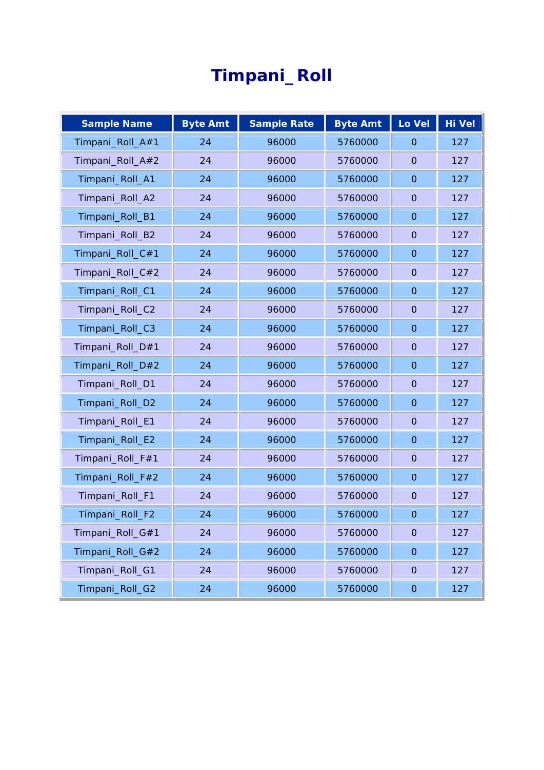# **Timpani\_Roll**

| <b>Sample Name</b> | <b>Byte Amt</b> | <b>Sample Rate</b> | <b>Byte Amt</b> | Lo Vel              | <b>Hi Vel</b> |
|--------------------|-----------------|--------------------|-----------------|---------------------|---------------|
| Timpani_Roll_A#1   | 24              | 96000              | 5760000         | $\mathbf{O}$        | 127           |
| Timpani_Roll_A#2   | 24              | 96000              | 5760000         | $\mathbf{O}$        | 127           |
| Timpani_Roll_A1    | 24              | 96000              | 5760000         | $\overline{O}$      | 127           |
| Timpani_Roll_A2    | 24              | 96000              | 5760000         | $\overline{0}$      | 127           |
| Timpani_Roll_B1    | 24              | 96000              | 5760000         | $\mathbf{O}$        | 127           |
| Timpani_Roll_B2    | 24              | 96000              | 5760000         | $\mathbf{O}$        | 127           |
| Timpani_Roll_C#1   | 24              | 96000              | 5760000         | $\overline{O}$      | 127           |
| Timpani_Roll_C#2   | 24              | 96000              | 5760000         | $\mathbf{O}$        | 127           |
| Timpani_Roll_C1    | 24              | 96000              | 5760000         | $\overline{O}$      | 127           |
| Timpani_Roll_C2    | 24              | 96000              | 5760000         | $\mathbf{O}$        | 127           |
| Timpani_Roll_C3    | 24              | 96000              | 5760000         | $\mathbf{O}$        | 127           |
| Timpani_Roll_D#1   | 24              | 96000              | 5760000         | $\mathbf{O}$        | 127           |
| Timpani_Roll_D#2   | 24              | 96000              | 5760000         | $\overline{O}$      | 127           |
| Timpani_Roll_D1    | 24              | 96000              | 5760000         | $\mathsf{O}\xspace$ | 127           |
| Timpani_Roll_D2    | 24              | 96000              | 5760000         | $\Omega$            | 127           |
| Timpani_Roll_E1    | 24              | 96000              | 5760000         | $\overline{0}$      | 127           |
| Timpani_Roll_E2    | 24              | 96000              | 5760000         | $\mathsf{O}\xspace$ | 127           |
| Timpani_Roll_F#1   | 24              | 96000              | 5760000         | $\mathbf{O}$        | 127           |
| Timpani_Roll_F#2   | 24              | 96000              | 5760000         | $\mathbf 0$         | 127           |
| Timpani_Roll_F1    | 24              | 96000              | 5760000         | $\mathbf{O}$        | 127           |
| Timpani_Roll_F2    | 24              | 96000              | 5760000         | $\mathbf 0$         | 127           |
| Timpani_Roll_G#1   | 24              | 96000              | 5760000         | $\overline{O}$      | 127           |
| Timpani_Roll_G#2   | 24              | 96000              | 5760000         | $\overline{O}$      | 127           |
| Timpani_Roll_G1    | 24              | 96000              | 5760000         | $\mathbf 0$         | 127           |
| Timpani_Roll_G2    | 24              | 96000              | 5760000         | $\mathsf O$         | 127           |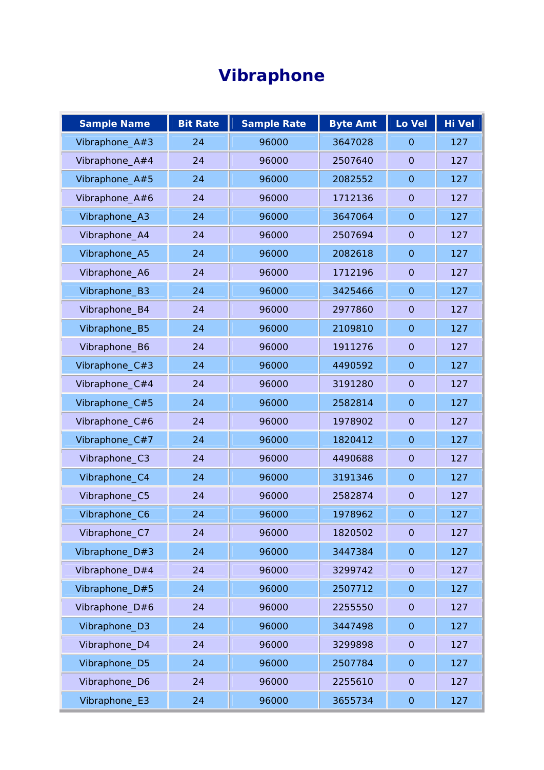# **Vibraphone**

| <b>Sample Name</b> | <b>Bit Rate</b> | <b>Sample Rate</b> | <b>Byte Amt</b> | Lo Vel              | Hi Vel |
|--------------------|-----------------|--------------------|-----------------|---------------------|--------|
| Vibraphone_A#3     | 24              | 96000              | 3647028         | $\Omega$            | 127    |
| Vibraphone_A#4     | 24              | 96000              | 2507640         | $\overline{O}$      | 127    |
| Vibraphone_A#5     | 24              | 96000              | 2082552         | $\overline{O}$      | 127    |
| Vibraphone_A#6     | 24              | 96000              | 1712136         | $\overline{O}$      | 127    |
| Vibraphone_A3      | 24              | 96000              | 3647064         | $\mathbf{O}$        | 127    |
| Vibraphone_A4      | 24              | 96000              | 2507694         | $\overline{O}$      | 127    |
| Vibraphone_A5      | 24              | 96000              | 2082618         | $\mathsf{O}\xspace$ | 127    |
| Vibraphone_A6      | 24              | 96000              | 1712196         | $\mathbf{O}$        | 127    |
| Vibraphone_B3      | 24              | 96000              | 3425466         | $\overline{O}$      | 127    |
| Vibraphone_B4      | 24              | 96000              | 2977860         | $\mathsf{O}\xspace$ | 127    |
| Vibraphone_B5      | 24              | 96000              | 2109810         | $\overline{O}$      | 127    |
| Vibraphone_B6      | 24              | 96000              | 1911276         | $\mathbf 0$         | 127    |
| Vibraphone_C#3     | 24              | 96000              | 4490592         | $\overline{O}$      | 127    |
| Vibraphone_C#4     | 24              | 96000              | 3191280         | $\mathbf{O}$        | 127    |
| Vibraphone_C#5     | 24              | 96000              | 2582814         | $\overline{O}$      | 127    |
| Vibraphone_C#6     | 24              | 96000              | 1978902         | $\overline{O}$      | 127    |
| Vibraphone_C#7     | 24              | 96000              | 1820412         | $\mathsf{O}\xspace$ | 127    |
| Vibraphone_C3      | 24              | 96000              | 4490688         | $\mathbf{O}$        | 127    |
| Vibraphone_C4      | 24              | 96000              | 3191346         | $\mathbf 0$         | 127    |
| Vibraphone_C5      | 24              | 96000              | 2582874         | $\overline{O}$      | 127    |
| Vibraphone_C6      | 24              | 96000              | 1978962         | $\mathbf 0$         | 127    |
| Vibraphone_C7      | 24              | 96000              | 1820502         | $\mathsf{O}\xspace$ | 127    |
| Vibraphone_D#3     | 24              | 96000              | 3447384         | $\overline{O}$      | 127    |
| Vibraphone_D#4     | 24              | 96000              | 3299742         | $\mathsf{O}\xspace$ | 127    |
| Vibraphone_D#5     | 24              | 96000              | 2507712         | $\mathsf{O}\xspace$ | 127    |
| Vibraphone_D#6     | 24              | 96000              | 2255550         | $\overline{O}$      | 127    |
| Vibraphone_D3      | 24              | 96000              | 3447498         | $\mathsf{O}\xspace$ | 127    |
| Vibraphone_D4      | 24              | 96000              | 3299898         | $\mathbf{O}$        | 127    |
| Vibraphone_D5      | 24              | 96000              | 2507784         | $\mathsf{O}\xspace$ | 127    |
| Vibraphone_D6      | 24              | 96000              | 2255610         | $\mathsf{O}\xspace$ | 127    |
| Vibraphone_E3      | 24              | 96000              | 3655734         | $\mathsf{O}\xspace$ | 127    |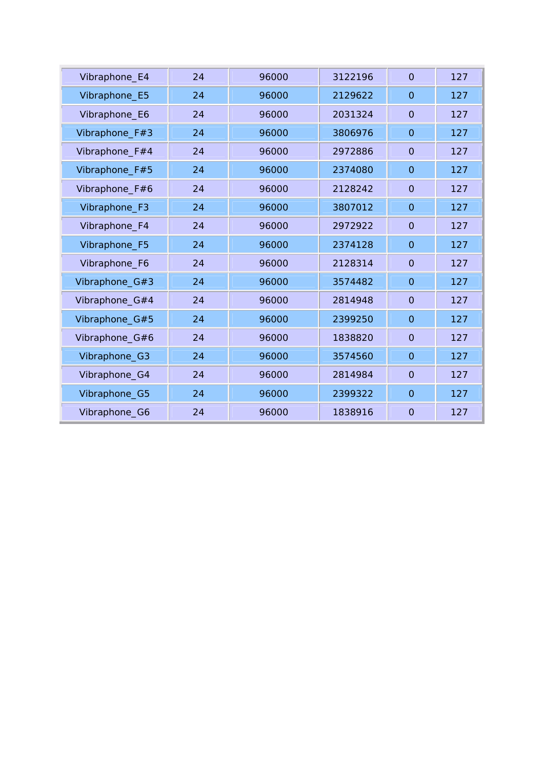| Vibraphone_E4  | 24 | 96000 | 3122196 | $\Omega$       | 127 |
|----------------|----|-------|---------|----------------|-----|
| Vibraphone_E5  | 24 | 96000 | 2129622 | $\Omega$       | 127 |
| Vibraphone_E6  | 24 | 96000 | 2031324 | $\overline{O}$ | 127 |
| Vibraphone_F#3 | 24 | 96000 | 3806976 | $\overline{O}$ | 127 |
| Vibraphone_F#4 | 24 | 96000 | 2972886 | $\overline{O}$ | 127 |
| Vibraphone_F#5 | 24 | 96000 | 2374080 | $\overline{O}$ | 127 |
| Vibraphone_F#6 | 24 | 96000 | 2128242 | $\overline{O}$ | 127 |
| Vibraphone_F3  | 24 | 96000 | 3807012 | $\overline{O}$ | 127 |
| Vibraphone_F4  | 24 | 96000 | 2972922 | $\Omega$       | 127 |
| Vibraphone_F5  | 24 | 96000 | 2374128 | $\overline{O}$ | 127 |
| Vibraphone_F6  | 24 | 96000 | 2128314 | $\overline{O}$ | 127 |
| Vibraphone_G#3 | 24 | 96000 | 3574482 | $\overline{O}$ | 127 |
| Vibraphone_G#4 | 24 | 96000 | 2814948 | $\overline{O}$ | 127 |
| Vibraphone_G#5 | 24 | 96000 | 2399250 | $\overline{O}$ | 127 |
| Vibraphone_G#6 | 24 | 96000 | 1838820 | $\overline{O}$ | 127 |
| Vibraphone_G3  | 24 | 96000 | 3574560 | $\overline{O}$ | 127 |
| Vibraphone_G4  | 24 | 96000 | 2814984 | $\overline{O}$ | 127 |
| Vibraphone_G5  | 24 | 96000 | 2399322 | $\overline{O}$ | 127 |
| Vibraphone_G6  | 24 | 96000 | 1838916 | $\overline{O}$ | 127 |